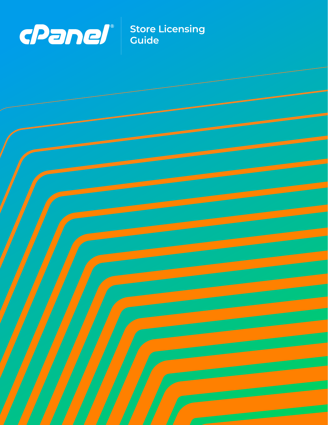

**Store Licensing Guide**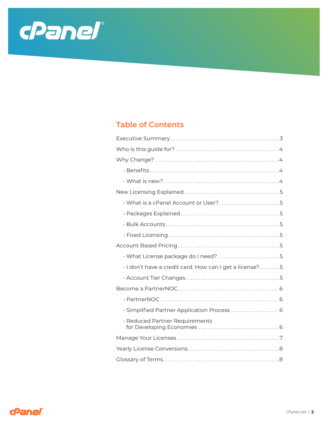

# **Table of Contents**

| What is a cPanel Account or User?5                      |
|---------------------------------------------------------|
|                                                         |
|                                                         |
|                                                         |
|                                                         |
| · What License package do I need? 5                     |
| · I don't have a credit card. How can I get a license?5 |
|                                                         |
|                                                         |
|                                                         |
|                                                         |
| · Reduced Partner Requirements                          |
|                                                         |
|                                                         |
|                                                         |

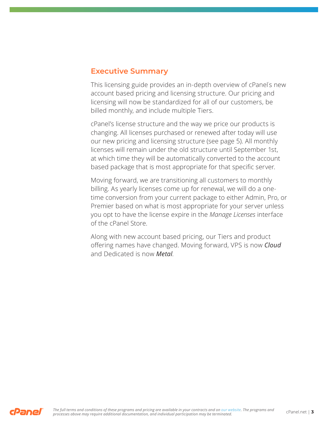### **Executive Summary**

This licensing guide provides an in-depth overview of cPanel' s new account based pricing and licensing structure. Our pricing and licensing will now be standardized for all of our customers, be billed monthly, and include multiple Tiers.

cPanel's license structure and the way we price our products is changing. All licenses purchased or renewed after today will use our new pricing and licensing structure (see page 5). All monthly licenses will remain under the old structure until September 1st, at which time they will be automatically converted to the account based package that is most appropriate for that specific server.

Moving forward, we are transitioning all customers to monthly billing. As yearly licenses come up for renewal, we will do a onetime conversion from your current package to either Admin, Pro, or Premier based on what is most appropriate for your server unless you opt to have the license expire in the *Manage Licenses* interface of the cPanel Store.

Along with new account based pricing, our Tiers and product offering names have changed. Moving forward, VPS is now *Cloud* and Dedicated is now *Metal*.

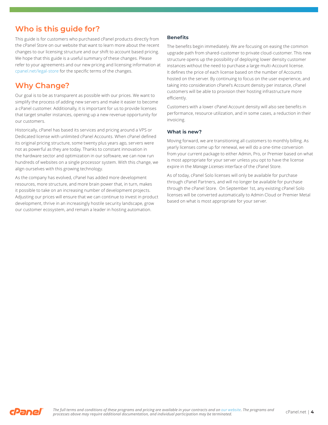# **Who is this guide for?**

This guide is for customers who purchased cPanel products directly from the cPanel Store on our website that want to learn more about the recent changes to our licensing structure and our shift to account based pricing. We hope that this guide is a useful summary of these changes. Please refer to your agreements and our new pricing and licensing information at cpanel.net/legal-store for the specific terms of the changes.

# **Why Change?**

Our goal is to be as transparent as possible with our prices. We want to simplify the process of adding new servers and make it easier to become a cPanel customer. Additionally, it is important for us to provide licenses that target smaller instances, opening up a new revenue opportunity for our customers.

Historically, cPanel has based its services and pricing around a VPS or Dedicated license with unlimited cPanel Accounts. When cPanel defined its original pricing structure, some twenty plus years ago, servers were not as powerful as they are today. Thanks to constant innovation in the hardware sector and optimization in our software, we can now run hundreds of websites on a single processor system. With this change, we align ourselves with this growing technology.

As the company has evolved, cPanel has added more development resources, more structure, and more brain power that, in turn, makes it possible to take on an increasing number of development projects. Adjusting our prices will ensure that we can continue to invest in product development, thrive in an increasingly hostile security landscape, grow our customer ecosystem, and remain a leader in hosting automation.

### **Benefits**

The benefits begin immediately. We are focusing on easing the common upgrade path from shared-customer to private cloud-customer. This new structure opens up the possibility of deploying lower density customer instances without the need to purchase a large multi-Account license. It defines the price of each license based on the number of Accounts hosted on the server. By continuing to focus on the user experience, and taking into consideration cPanel's Account density per instance, cPanel customers will be able to provision their hosting infrastructure more efficiently.

Customers with a lower cPanel Account density will also see benefits in performance, resource utilization, and in some cases, a reduction in their invoicing.

### **What is new?**

Moving forward, we are transitioning all customers to monthly billing. As yearly licenses come up for renewal, we will do a one-time conversion from your current package to either Admin, Pro, or Premier based on what is most appropriate for your server unless you opt to have the license expire in the *Manage Licenses* interface of the cPanel Store.

As of today, cPanel Solo licenses will only be available for purchase through cPanel Partners, and will no longer be available for purchase through the cPanel Store. On September 1st, any existing cPanel Solo licenses will be converted automatically to Admin Cloud or Premier Metal based on what is most appropriate for your server.

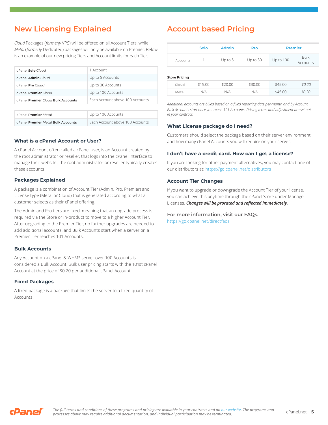# **New Licensing Explained**

*Cloud* Packages (*formerly* VPS) will be offered on all Account Tiers, while *Metal* (*formerly* Dedicated) packages will only be available on Premier. Below is an example of our new pricing Tiers and Account limits for each Tier.

| cPanel Solo Cloud                  | 1 Account                       |  |  |  |  |
|------------------------------------|---------------------------------|--|--|--|--|
| cPanel Admin Cloud                 | Up to 5 Accounts                |  |  |  |  |
| cPanel Pro Cloud                   | Up to 30 Accounts               |  |  |  |  |
| cPanel Premier Cloud               | Up to 100 Accounts              |  |  |  |  |
| cPanel Premier Cloud Bulk Accounts | Fach Account above 100 Accounts |  |  |  |  |
|                                    |                                 |  |  |  |  |
| cPanel Premier Metal               | Up to 100 Accounts              |  |  |  |  |
| cPanel Premier Metal Bulk Accounts | Fach Account above 100 Accounts |  |  |  |  |

### **What is a cPanel Account or User?**

A cPanel Account often called a cPanel user, is an Account created by the root administrator or reseller, that logs into the cPanel interface to manage their website. The root administrator or reseller typically creates these accounts.

### **Packages Explained**

A package is a combination of Account Tier (Admin, Pro, Premier) and License type (Metal or Cloud) that is generated according to what a customer selects as their cPanel offering.

The Admin and Pro tiers are fixed, meaning that an upgrade process is required via the Store or in-product to move to a higher Account Tier. After upgrading to the Premier Tier, no further upgrades are needed to add additional accounts, and Bulk Accounts start when a server on a Premier Tier reaches 101 Accounts.

#### **Bulk Accounts**

Any Account on a cPanel & WHM® server over 100 Accounts is considered a Bulk Account. Bulk user pricing starts with the 101st cPanel Account at the price of \$0.20 per additional cPanel Account.

#### **Fixed Packages**

A fixed package is a package that limits the server to a fixed quantity of Accounts.

## **Account based Pricing**

|                 | Solo | <b>Admin</b> | Pro        | <b>Premier</b> |                         |  |
|-----------------|------|--------------|------------|----------------|-------------------------|--|
| <b>Accounts</b> |      | Up to $5$    | Up to $30$ | Up to $100$    | <b>Bulk</b><br>Accounts |  |

#### **Store Pricing**

| אוווטופ בופאס |         |         |         |         |        |
|---------------|---------|---------|---------|---------|--------|
| Cloud         | \$15.00 | \$20.00 | \$30.00 | \$45.00 | \$0.20 |
| Metal         | N/A     | N/A     | N/A     | \$45.00 | \$0.20 |

*Additional accounts are billed based on a fixed reporting date per-month and by Account. Bulk Accounts start once you reach 101 Accounts. Pricing terms and adjustment are set out in your contract.*

#### **What License package do I need?**

Customers should select the package based on their server environment and how many cPanel Accounts you will require on your server.

#### **I don't have a credit card. How can I get a license?**

If you are looking for other payment alternatives, you may contact one of our distributors at: https://go.cpanel.net/distributors

#### **Account Tier Changes**

If you want to upgrade or downgrade the Account Tier of your license, you can achieve this anytime through the cPanel Store under Manage Licenses. *Changes will be prorated and reflected immediately.*

# **For more information, visit our FAQs.**

https://go.cpanel.net/directfaqs

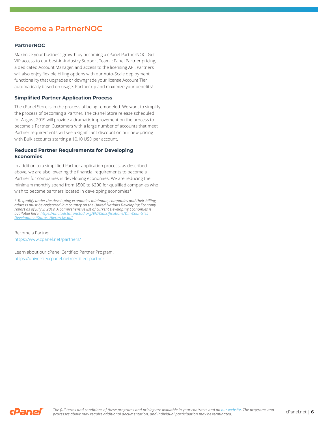## **Become a PartnerNOC**

### **PartnerNOC**

Maximize your business growth by becoming a cPanel PartnerNOC. Get VIP access to our best-in-industry Support Team, cPanel Partner pricing, a dedicated Account Manager, and access to the licensing API. Partners will also enjoy flexible billing options with our Auto-Scale deployment functionality that upgrades or downgrade your license Account Tier automatically based on usage. Partner up and maximize your benefits!

### **Simplified Partner Application Process**

The cPanel Store is in the process of being remodeled. We want to simplify the process of becoming a Partner. The cPanel Store release scheduled for August 2019 will provide a dramatic improvement on the process to become a Partner. Customers with a large number of accounts that meet Partner requirements will see a significant discount on our new pricing with Bulk accounts starting a \$0.10 USD per account.

### **Reduced Partner Requirements for Developing Economies**

In addition to a simplified Partner application process, as described above, we are also lowering the financial requirements to become a Partner for companies in developing economies. We are reducing the minimum monthly spend from \$500 to \$200 for qualified companies who wish to become partners located in developing economies\*.

*\* To qualify under the developing economies minimum, companies and their billing address must be registered in a country on the United Nations Developing Economy report as of July 3, 2019. A comprehensive list of current Developing Economies is available here: https://unctadstat.unctad.org/EN/Classifications/DimCountries DevelopmentStatus\_Hierarchy.pdf*

Become a Partner. https://www.cpanel.net/partners/

Learn about our cPanel Certified Partner Program. https://university.cpanel.net/certified-partner

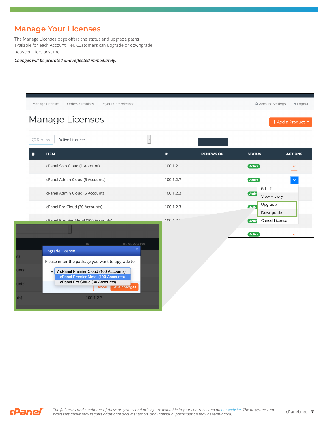# **Manage Your Licenses**

The Manage Licenses page offers the status and upgrade paths available for each Account Tier. Customers can upgrade or downgrade between Tiers anytime.

### *Changes will be prorated and reflected immediately.*

| Manage Licenses                                       | Orders & Invoices<br>Payout Commissions                                                                                                                                                                                                  |                          |                  |               | <b>Account Settings</b><br><b>□</b> Logout |
|-------------------------------------------------------|------------------------------------------------------------------------------------------------------------------------------------------------------------------------------------------------------------------------------------------|--------------------------|------------------|---------------|--------------------------------------------|
|                                                       | Manage Licenses                                                                                                                                                                                                                          |                          |                  |               | + Add a Product ▼                          |
| $\Omega$ Renew                                        | <b>Active Licenses</b>                                                                                                                                                                                                                   | $\overline{\phantom{a}}$ |                  |               |                                            |
| <b>ITEM</b><br>□                                      |                                                                                                                                                                                                                                          | IP                       | <b>RENEWS ON</b> | <b>STATUS</b> | <b>ACTIONS</b>                             |
|                                                       | cPanel Solo Cloud (1 Account)                                                                                                                                                                                                            | 100.1.2.1                |                  | <b>Active</b> |                                            |
|                                                       | cPanel Admin Cloud (5 Accounts)                                                                                                                                                                                                          | 100.1.2.7                |                  | Active        |                                            |
|                                                       | cPanel Admin Cloud (5 Accounts)                                                                                                                                                                                                          | 100.1.2.2                |                  | <b>Activ</b>  | Edit IP<br>View History                    |
|                                                       | cPanel Pro Cloud (30 Accounts)                                                                                                                                                                                                           | 100.1.2.3                |                  | Activ         | Upgrade                                    |
|                                                       | cPanel Premier Metal (100 Accounts)                                                                                                                                                                                                      | 100127                   |                  | Activ         | Downgrade<br>Cancel License                |
|                                                       |                                                                                                                                                                                                                                          |                          |                  | Active        | $\ddotmark$                                |
| <b>Upgrade License</b><br>ints)<br>$\bullet$<br>ints) | <b>RENEWS ON</b><br>IP.<br>×<br>Please enter the package you want to upgrade to.<br>√ cPanel Premier Cloud (100 Accounts)<br>cPanel Premier Metal (100 Accounts)<br>cPanel Pro Cloud (30 Accounts)<br>Cancel   Save changes<br>100.1.2.3 |                          |                  |               |                                            |